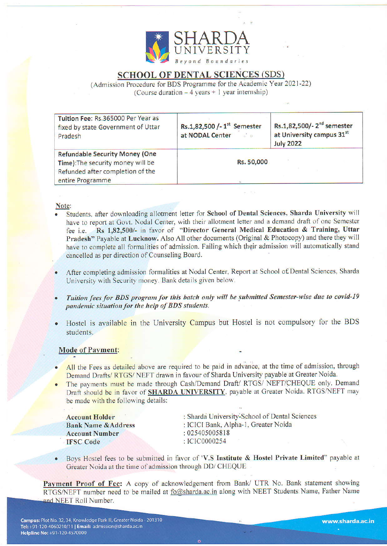

# SCHOOL OF DENTAL SCIENCES (SDS)

(Admission Procedure for BDS Programme for the Academic Year 2021-22) (Course duration  $-4$  years + 1 year internship)

| Tuition Fee: Rs.365000 Per Year as<br>fixed by state Government of Uttar<br>Pradesh                                                | Rs.1,82,500 /- 1 <sup>st</sup> Semester<br>at NODAL Center and a | Rs.1,82,500/-2 <sup>nd</sup> semester<br>at University campus 31st<br><b>July 2022</b> |
|------------------------------------------------------------------------------------------------------------------------------------|------------------------------------------------------------------|----------------------------------------------------------------------------------------|
| <b>Refundable Security Money (One</b><br>Time): The security money will be<br>Refunded after completion of the<br>entire Programme | Rs. 50,000                                                       |                                                                                        |

### Note:

- Students, after downloading allotment letter for School of Dental Sciences, Sharda University will have to report at Govt. Nodal Center, with their allotment letter and a demand draft of one Semester fee i.e. Rs 1,82,500/- in favor of "Director General Medical Education & Training, Uttar Pradesh" Payable at Lucknow. Also All other documents (Original & Photocopy) and there they will have to complete all formalities of admission. Failing which their admission will automatically stand cancelled as per direction of Counseling Board.
- After completing admission formalities at Nodal Center, Report at School of Dental Sciences, Sharda University with Security money. Bank details given below.
- Tuition fees for BDS program for this batch only will be submitted Semester-wise due to covid-19 pandemic situation for the help of BDS students.
- Hostel is available in the University Campus but Hostel is not compulsory for the BDS students.

## Mode of Payment:

- All the Fees as detailed above are required to be paid in advance, at the time of admission, through Demand Drafts/RTGS/NEFT drawn in favour of Sharda University payable at Greater Noida.
- The payments must be made through Cash/Demand Draft/ RTGS/ NEFT/CHEQUE only. Demand Draft should be in favor of **SHARDA UNIVERSITY**, payable at Greater Noida. RTGS/NEFT may be made with the following details:

| <b>Account Holder</b>          | : Sharda University-School of Dental Sciences |  |
|--------------------------------|-----------------------------------------------|--|
| <b>Bank Name &amp; Address</b> | : ICICI Bank, Alpha-1, Greater Noida          |  |
| <b>Account Number</b>          | : 025405005818                                |  |
| <b>IFSC</b> Code               | $\therefore$ ICIC0000254                      |  |

■ Boys Hostel fees to be submitted in favor of 'V.S Institute & Hostel Private Limited" payable at Greater Noida at the time of admission through DD/ CHEQUE

Payment Proof of Fee: A copy of acknowledgement from Bank/ UTR No. Bank statement showing RTGS/NEFT number need to be mailed at <u>fo@sharda.ac.in</u> along with NEET Students Name, Father Name and NEET Roll Number.